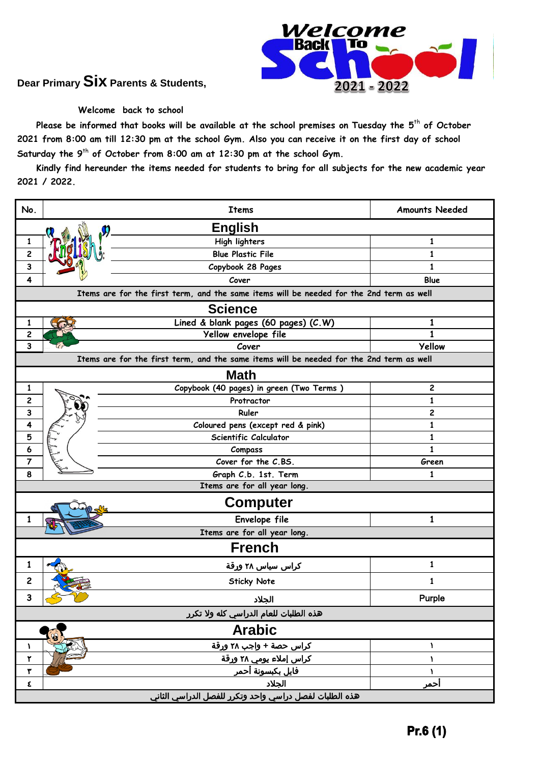

## **Dear Primary Six Parents & Students,**

## **Welcome back to school**

 **Please be informed that books will be available at the school premises on Tuesday the 5** th **of October 2021 from 8:00 am till 12:30 pm at the school Gym. Also you can receive it on the first day of school Saturday the 9** th **of October from 8:00 am at 12:30 pm at the school Gym.**

 **Kindly find hereunder the items needed for students to bring for all subjects for the new academic year 2021 / 2022.**

| No.                                                                                      | <b>Items</b>                                           | <b>Amounts Needed</b> |  |  |
|------------------------------------------------------------------------------------------|--------------------------------------------------------|-----------------------|--|--|
| <b>English</b><br>$\boldsymbol{\eta}$                                                    |                                                        |                       |  |  |
| 1                                                                                        | High lighters                                          | 1                     |  |  |
| $\overline{\mathbf{c}}$                                                                  | <b>Blue Plastic File</b>                               | 1                     |  |  |
| 3                                                                                        | Copybook 28 Pages                                      | $\mathbf{1}$          |  |  |
| 4                                                                                        | Cover                                                  | Blue                  |  |  |
| Items are for the first term, and the same items will be needed for the 2nd term as well |                                                        |                       |  |  |
| <b>Science</b>                                                                           |                                                        |                       |  |  |
| 1                                                                                        | Lined & blank pages (60 pages) (C.W)                   | 1                     |  |  |
| 2                                                                                        | Yellow envelope file                                   |                       |  |  |
| 3                                                                                        | Cover                                                  | <b>Yellow</b>         |  |  |
| Items are for the first term, and the same items will be needed for the 2nd term as well |                                                        |                       |  |  |
| <b>Math</b>                                                                              |                                                        |                       |  |  |
| 1                                                                                        | Copybook (40 pages) in green (Two Terms)               | 2                     |  |  |
| $\overline{\mathbf{c}}$                                                                  | Protractor                                             | $\mathbf{1}$          |  |  |
| 3                                                                                        | Ruler                                                  | 2                     |  |  |
| 4                                                                                        | Coloured pens (except red & pink)                      | $\mathbf{1}$          |  |  |
| 5                                                                                        | Scientific Calculator                                  | 1                     |  |  |
| 6                                                                                        | Compass                                                | $\mathbf{1}$          |  |  |
| $\overline{7}$                                                                           | Cover for the C.BS.                                    | Green                 |  |  |
| 8                                                                                        | Graph C.b. 1st. Term                                   | 1                     |  |  |
| Items are for all year long.                                                             |                                                        |                       |  |  |
|                                                                                          | <b>Computer</b>                                        |                       |  |  |
|                                                                                          | Envelope file                                          | 1                     |  |  |
|                                                                                          | Items are for all year long.                           |                       |  |  |
| <b>French</b>                                                                            |                                                        |                       |  |  |
| 1                                                                                        | کراس سیاس ۲۸ ورقة                                      | 1                     |  |  |
| 2                                                                                        | <b>Sticky Note</b>                                     | 1                     |  |  |
| 3                                                                                        | الجلاد                                                 | Purple                |  |  |
|                                                                                          | هذه الطلبات للعام الدراسي كله ولا تكرر                 |                       |  |  |
| <b>Arabic</b>                                                                            |                                                        |                       |  |  |
| A.                                                                                       | كراس حصة + واجب ٢٨ ورقة                                | Y                     |  |  |
| ۲                                                                                        | كراس إملاء يومي ٢٨ ورقة                                | ١                     |  |  |
| ۳                                                                                        | فايل بكبسونة أحمر                                      |                       |  |  |
| ε                                                                                        | الجلاد                                                 | احمر                  |  |  |
|                                                                                          | هذه الطلبات لفصل دراسي واحد وتكرر للفصل الدراسي الثاني |                       |  |  |